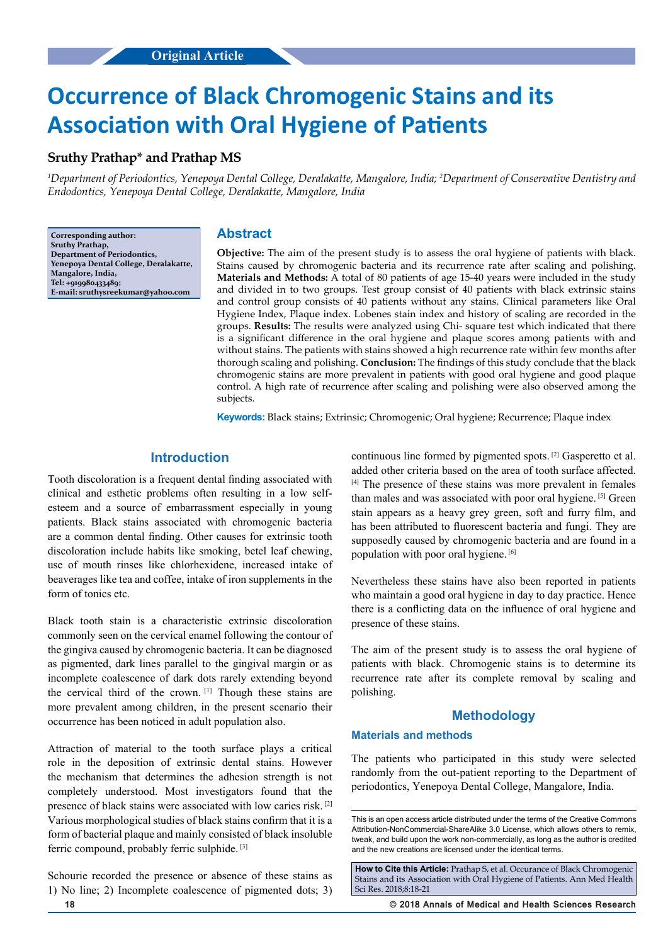# **Occurrence of Black Chromogenic Stains and its Association with Oral Hygiene of Patients**

## **Sruthy Prathap\* and Prathap MS**

*1 Department of Periodontics, Yenepoya Dental College, Deralakatte, Mangalore, India; 2 Department of Conservative Dentistry and Endodontics, Yenepoya Dental College, Deralakatte, Mangalore, India*

**Corresponding author: Sruthy Prathap, Department of Periodontics, Yenepoya Dental College, Deralakatte, Mangalore, India, Tel: +919980433489; E-mail: sruthysreekumar@yahoo.com**

## **Abstract**

**Objective:** The aim of the present study is to assess the oral hygiene of patients with black. Stains caused by chromogenic bacteria and its recurrence rate after scaling and polishing. **Materials and Methods:** A total of 80 patients of age 15-40 years were included in the study and divided in to two groups. Test group consist of 40 patients with black extrinsic stains and control group consists of 40 patients without any stains. Clinical parameters like Oral Hygiene Index, Plaque index. Lobenes stain index and history of scaling are recorded in the groups. **Results:** The results were analyzed using Chi- square test which indicated that there is a significant difference in the oral hygiene and plaque scores among patients with and without stains. The patients with stains showed a high recurrence rate within few months after thorough scaling and polishing. **Conclusion:** The findings of this study conclude that the black chromogenic stains are more prevalent in patients with good oral hygiene and good plaque control. A high rate of recurrence after scaling and polishing were also observed among the subjects.

**Keywords:** Black stains; Extrinsic; Chromogenic; Oral hygiene; Recurrence; Plaque index

## **Introduction**

Tooth discoloration is a frequent dental finding associated with clinical and esthetic problems often resulting in a low selfesteem and a source of embarrassment especially in young patients. Black stains associated with chromogenic bacteria are a common dental finding. Other causes for extrinsic tooth discoloration include habits like smoking, betel leaf chewing, use of mouth rinses like chlorhexidene, increased intake of beaverages like tea and coffee, intake of iron supplements in the form of tonics etc.

Black tooth stain is a characteristic extrinsic discoloration commonly seen on the cervical enamel following the contour of the gingiva caused by chromogenic bacteria. It can be diagnosed as pigmented, dark lines parallel to the gingival margin or as incomplete coalescence of dark dots rarely extending beyond the cervical third of the crown. [1] Though these stains are more prevalent among children, in the present scenario their occurrence has been noticed in adult population also.

Attraction of material to the tooth surface plays a critical role in the deposition of extrinsic dental stains. However the mechanism that determines the adhesion strength is not completely understood. Most investigators found that the presence of black stains were associated with low caries risk. [2] Various morphological studies of black stains confirm that it is a form of bacterial plaque and mainly consisted of black insoluble ferric compound, probably ferric sulphide. [3]

Schourie recorded the presence or absence of these stains as 1) No line; 2) Incomplete coalescence of pigmented dots; 3)

continuous line formed by pigmented spots. [2] Gasperetto et al. added other criteria based on the area of tooth surface affected. [4] The presence of these stains was more prevalent in females than males and was associated with poor oral hygiene. [5] Green stain appears as a heavy grey green, soft and furry film, and has been attributed to fluorescent bacteria and fungi. They are supposedly caused by chromogenic bacteria and are found in a population with poor oral hygiene. [6]

Nevertheless these stains have also been reported in patients who maintain a good oral hygiene in day to day practice. Hence there is a conflicting data on the influence of oral hygiene and presence of these stains.

The aim of the present study is to assess the oral hygiene of patients with black. Chromogenic stains is to determine its recurrence rate after its complete removal by scaling and polishing.

## **Methodology**

#### **Materials and methods**

The patients who participated in this study were selected randomly from the out-patient reporting to the Department of periodontics, Yenepoya Dental College, Mangalore, India.

This is an open access article distributed under the terms of the Creative Commons Attribution-NonCommercial-ShareAlike 3.0 License, which allows others to remix, tweak, and build upon the work non‑commercially, as long as the author is credited and the new creations are licensed under the identical terms.

**How to Cite this Article:** Prathap S, et al. Occurance of Black Chromogenic Stains and its Association with Oral Hygiene of Patients. Ann Med Health Sci Res. 2018;8:18-21

**18 © 2018 Annals of Medical and Health Sciences Research**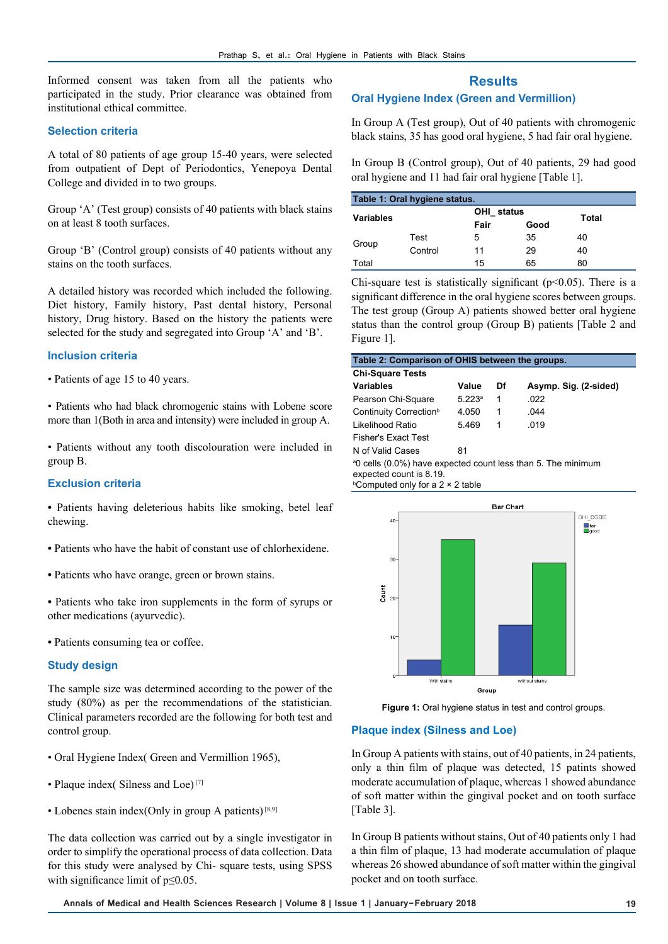Informed consent was taken from all the patients who participated in the study. Prior clearance was obtained from institutional ethical committee.

## **Selection criteria**

A total of 80 patients of age group 15-40 years, were selected from outpatient of Dept of Periodontics, Yenepoya Dental College and divided in to two groups.

Group 'A' (Test group) consists of 40 patients with black stains on at least 8 tooth surfaces.

Group 'B' (Control group) consists of 40 patients without any stains on the tooth surfaces.

A detailed history was recorded which included the following. Diet history, Family history, Past dental history, Personal history, Drug history. Based on the history the patients were selected for the study and segregated into Group 'A' and 'B'.

## **Inclusion criteria**

- Patients of age 15 to 40 years.
- Patients who had black chromogenic stains with Lobene score more than 1(Both in area and intensity) were included in group A.
- Patients without any tooth discolouration were included in group B.

## **Exclusion criteria**

**•** Patients having deleterious habits like smoking, betel leaf chewing.

- Patients who have the habit of constant use of chlorhexidene.
- Patients who have orange, green or brown stains.
- Patients who take iron supplements in the form of syrups or other medications (ayurvedic).
- Patients consuming tea or coffee.

## **Study design**

The sample size was determined according to the power of the study (80%) as per the recommendations of the statistician. Clinical parameters recorded are the following for both test and control group.

- Oral Hygiene Index Green and Vermillion 1965),
- Plaque index( Silness and Loe)<sup>[7]</sup>
- Lobenes stain index(Only in group A patients)  $[8,9]$

The data collection was carried out by a single investigator in order to simplify the operational process of data collection. Data for this study were analysed by Chi- square tests, using SPSS with significance limit of  $p \leq 0.05$ .

## **Results**

## **Oral Hygiene Index (Green and Vermillion)**

In Group A (Test group), Out of 40 patients with chromogenic black stains, 35 has good oral hygiene, 5 had fair oral hygiene.

In Group B (Control group), Out of 40 patients, 29 had good oral hygiene and 11 had fair oral hygiene [Table 1].

| Table 1: Oral hygiene status. |         |            |      |       |  |
|-------------------------------|---------|------------|------|-------|--|
| <b>Variables</b>              |         | OHI status |      | Total |  |
|                               |         | Fair       | Good |       |  |
| Group                         | Test    | 5          | 35   | 40    |  |
|                               | Control | 11         | 29   | 40    |  |
| Total                         |         | 15         | 65   | 80    |  |

Chi-square test is statistically significant ( $p<0.05$ ). There is a significant difference in the oral hygiene scores between groups. The test group (Group A) patients showed better oral hygiene status than the control group (Group B) patients [Table 2 and Figure 1].

| Table 2: Comparison of OHIS between the groups.                                                                                                                 |        |    |                       |  |  |
|-----------------------------------------------------------------------------------------------------------------------------------------------------------------|--------|----|-----------------------|--|--|
| <b>Chi-Square Tests</b>                                                                                                                                         |        |    |                       |  |  |
| <b>Variables</b>                                                                                                                                                | Value  | Df | Asymp. Sig. (2-sided) |  |  |
| Pearson Chi-Square                                                                                                                                              | 5.223a | 1  | .022                  |  |  |
| Continuity Correction <sup>b</sup>                                                                                                                              | 4.050  | 1  | 044                   |  |  |
| Likelihood Ratio                                                                                                                                                | 5.469  | 1  | 019                   |  |  |
| Fisher's Exact Test                                                                                                                                             |        |    |                       |  |  |
| N of Valid Cases                                                                                                                                                | 81     |    |                       |  |  |
| <sup>a</sup> 0 cells (0.0%) have expected count less than 5. The minimum<br>expected count is 8.19.<br><b>Computed only for a 2 <math>\times</math> 2 table</b> |        |    |                       |  |  |



**Figure 1:** Oral hygiene status in test and control groups.

## **Plaque index (Silness and Loe)**

In Group A patients with stains, out of 40 patients, in 24 patients, only a thin film of plaque was detected, 15 patints showed moderate accumulation of plaque, whereas 1 showed abundance of soft matter within the gingival pocket and on tooth surface [Table 3].

In Group B patients without stains, Out of 40 patients only 1 had a thin film of plaque, 13 had moderate accumulation of plaque whereas 26 showed abundance of soft matter within the gingival pocket and on tooth surface.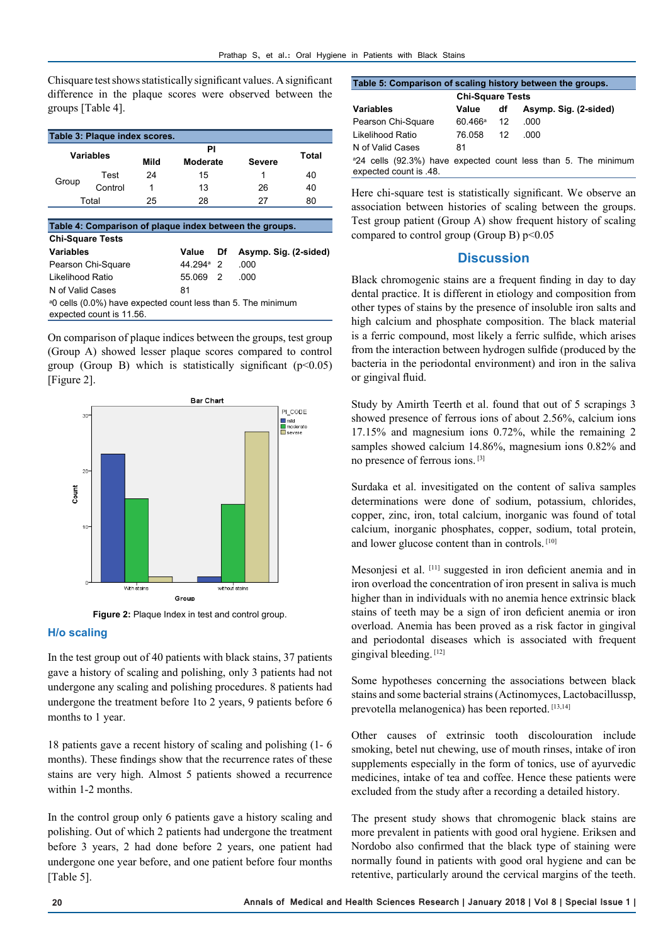Chisquare test shows statistically significant values. A significant difference in the plaque scores were observed between the groups [Table 4].

| Table 3: Plaque index scores. |         |      |                |               |       |  |
|-------------------------------|---------|------|----------------|---------------|-------|--|
| <b>Variables</b>              |         | Mild | ΡI<br>Moderate | <b>Severe</b> | Total |  |
| Group                         | Test    | 24   | 15             |               | 40    |  |
|                               | Control |      | 13             | 26            | 40    |  |
| Total                         |         | 25   | 28             | 27            | 80    |  |
|                               |         |      |                |               |       |  |

| Table 4: Comparison of plaque index between the groups.                                              |                       |  |                          |  |  |
|------------------------------------------------------------------------------------------------------|-----------------------|--|--------------------------|--|--|
| <b>Chi-Square Tests</b>                                                                              |                       |  |                          |  |  |
| <b>Variables</b>                                                                                     | Value                 |  | Df Asymp. Sig. (2-sided) |  |  |
| Pearson Chi-Square                                                                                   | 44 294 <sup>a</sup> 2 |  | .000                     |  |  |
| Likelihood Ratio                                                                                     | 55.069 2              |  | റററ                      |  |  |
| N of Valid Cases                                                                                     | 81                    |  |                          |  |  |
| <sup>a</sup> 0 cells (0.0%) have expected count less than 5. The minimum<br>expected count is 11.56. |                       |  |                          |  |  |

On comparison of plaque indices between the groups, test group (Group A) showed lesser plaque scores compared to control group (Group B) which is statistically significant  $(p<0.05)$ [Figure 2].



**Figure 2:** Plaque Index in test and control group.

#### **H/o scaling**

In the test group out of 40 patients with black stains, 37 patients gave a history of scaling and polishing, only 3 patients had not undergone any scaling and polishing procedures. 8 patients had undergone the treatment before 1to 2 years, 9 patients before 6 months to 1 year.

18 patients gave a recent history of scaling and polishing (1- 6 months). These findings show that the recurrence rates of these stains are very high. Almost 5 patients showed a recurrence within 1-2 months.

In the control group only 6 patients gave a history scaling and polishing. Out of which 2 patients had undergone the treatment before 3 years, 2 had done before 2 years, one patient had undergone one year before, and one patient before four months [Table 5].

| Table 5: Comparison of scaling history between the groups. |                     |    |                                                                            |  |  |
|------------------------------------------------------------|---------------------|----|----------------------------------------------------------------------------|--|--|
| <b>Chi-Square Tests</b>                                    |                     |    |                                                                            |  |  |
| <b>Variables</b>                                           | Value               | df | Asymp. Sig. (2-sided)                                                      |  |  |
| Pearson Chi-Square                                         | $60.466^{\circ}$ 12 |    | .000                                                                       |  |  |
| Likelihood Ratio                                           | 76.058              | 12 | റററ                                                                        |  |  |
| N of Valid Cases                                           | 81                  |    |                                                                            |  |  |
| expected count is .48.                                     |                     |    | <sup>a</sup> 24 cells (92.3%) have expected count less than 5. The minimum |  |  |

Here chi-square test is statistically significant. We observe an association between histories of scaling between the groups. Test group patient (Group A) show frequent history of scaling compared to control group (Group B)  $p<0.05$ 

## **Discussion**

Black chromogenic stains are a frequent finding in day to day dental practice. It is different in etiology and composition from other types of stains by the presence of insoluble iron salts and high calcium and phosphate composition. The black material is a ferric compound, most likely a ferric sulfide, which arises from the interaction between hydrogen sulfide (produced by the bacteria in the periodontal environment) and iron in the saliva or gingival fluid.

Study by Amirth Teerth et al. found that out of 5 scrapings 3 showed presence of ferrous ions of about 2.56%, calcium ions 17.15% and magnesium ions 0.72%, while the remaining 2 samples showed calcium 14.86%, magnesium ions 0.82% and no presence of ferrous ions. [3]

Surdaka et al. invesitigated on the content of saliva samples determinations were done of sodium, potassium, chlorides, copper, zinc, iron, total calcium, inorganic was found of total calcium, inorganic phosphates, copper, sodium, total protein, and lower glucose content than in controls. [10]

Mesonjesi et al. [11] suggested in iron deficient anemia and in iron overload the concentration of iron present in saliva is much higher than in individuals with no anemia hence extrinsic black stains of teeth may be a sign of iron deficient anemia or iron overload. Anemia has been proved as a risk factor in gingival and periodontal diseases which is associated with frequent gingival bleeding. [12]

Some hypotheses concerning the associations between black stains and some bacterial strains (Actinomyces, Lactobacillussp, prevotella melanogenica) has been reported. [13,14]

Other causes of extrinsic tooth discolouration include smoking, betel nut chewing, use of mouth rinses, intake of iron supplements especially in the form of tonics, use of ayurvedic medicines, intake of tea and coffee. Hence these patients were excluded from the study after a recording a detailed history.

The present study shows that chromogenic black stains are more prevalent in patients with good oral hygiene. Eriksen and Nordobo also confirmed that the black type of staining were normally found in patients with good oral hygiene and can be retentive, particularly around the cervical margins of the teeth.